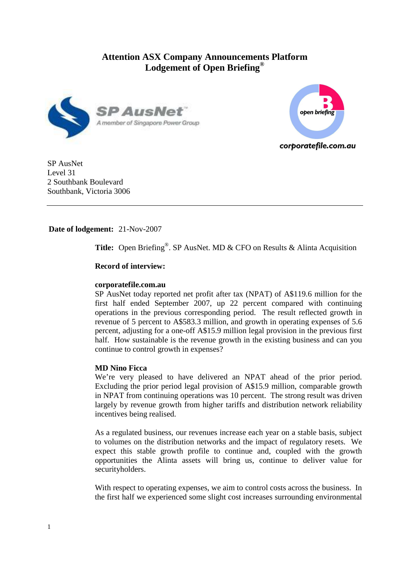# **Attention ASX Company Announcements Platform Lodgement of Open Briefing®**





SP AusNet Level 31 2 Southbank Boulevard Southbank, Victoria 3006

# **Date of lodgement:** 21-Nov-2007

**Title:** Open Briefing<sup>®</sup>. SP AusNet. MD & CFO on Results & Alinta Acquisition

# **Record of interview:**

# **corporatefile.com.au**

SP AusNet today reported net profit after tax (NPAT) of A\$119.6 million for the first half ended September 2007, up 22 percent compared with continuing operations in the previous corresponding period. The result reflected growth in revenue of 5 percent to A\$583.3 million, and growth in operating expenses of 5.6 percent, adjusting for a one-off A\$15.9 million legal provision in the previous first half. How sustainable is the revenue growth in the existing business and can you continue to control growth in expenses?

# **MD Nino Ficca**

We're very pleased to have delivered an NPAT ahead of the prior period. Excluding the prior period legal provision of A\$15.9 million, comparable growth in NPAT from continuing operations was 10 percent. The strong result was driven largely by revenue growth from higher tariffs and distribution network reliability incentives being realised.

As a regulated business, our revenues increase each year on a stable basis, subject to volumes on the distribution networks and the impact of regulatory resets. We expect this stable growth profile to continue and, coupled with the growth opportunities the Alinta assets will bring us, continue to deliver value for securityholders.

With respect to operating expenses, we aim to control costs across the business. In the first half we experienced some slight cost increases surrounding environmental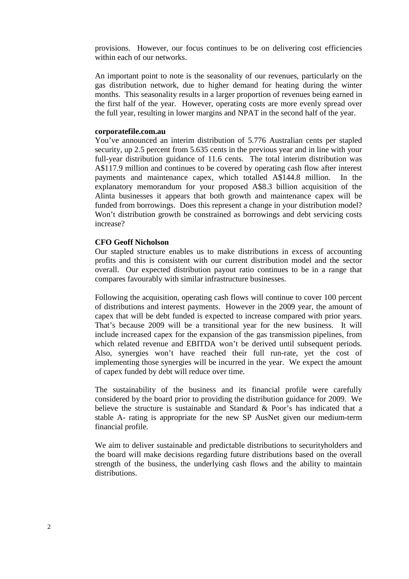provisions. However, our focus continues to be on delivering cost efficiencies within each of our networks.

An important point to note is the seasonality of our revenues, particularly on the gas distribution network, due to higher demand for heating during the winter months. This seasonality results in a larger proportion of revenues being earned in the first half of the year. However, operating costs are more evenly spread over the full year, resulting in lower margins and NPAT in the second half of the year.

# **corporatefile.com.au**

You've announced an interim distribution of 5.776 Australian cents per stapled security, up 2.5 percent from 5.635 cents in the previous year and in line with your full-year distribution guidance of 11.6 cents. The total interim distribution was A\$117.9 million and continues to be covered by operating cash flow after interest payments and maintenance capex, which totalled A\$144.8 million. In the explanatory memorandum for your proposed A\$8.3 billion acquisition of the Alinta businesses it appears that both growth and maintenance capex will be funded from borrowings. Does this represent a change in your distribution model? Won't distribution growth be constrained as borrowings and debt servicing costs increase?

### **CFO Geoff Nicholson**

Our stapled structure enables us to make distributions in excess of accounting profits and this is consistent with our current distribution model and the sector overall. Our expected distribution payout ratio continues to be in a range that compares favourably with similar infrastructure businesses.

Following the acquisition, operating cash flows will continue to cover 100 percent of distributions and interest payments. However in the 2009 year, the amount of capex that will be debt funded is expected to increase compared with prior years. That's because 2009 will be a transitional year for the new business. It will include increased capex for the expansion of the gas transmission pipelines, from which related revenue and EBITDA won't be derived until subsequent periods. Also, synergies won't have reached their full run-rate, yet the cost of implementing those synergies will be incurred in the year. We expect the amount of capex funded by debt will reduce over time.

The sustainability of the business and its financial profile were carefully considered by the board prior to providing the distribution guidance for 2009. We believe the structure is sustainable and Standard & Poor's has indicated that a stable A- rating is appropriate for the new SP AusNet given our medium-term financial profile.

We aim to deliver sustainable and predictable distributions to securityholders and the board will make decisions regarding future distributions based on the overall strength of the business, the underlying cash flows and the ability to maintain distributions.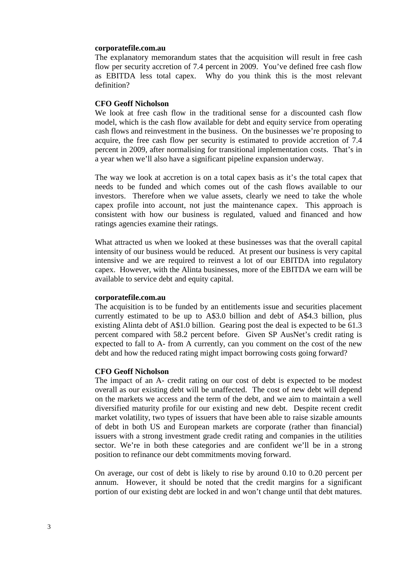# **corporatefile.com.au**

The explanatory memorandum states that the acquisition will result in free cash flow per security accretion of 7.4 percent in 2009. You've defined free cash flow as EBITDA less total capex. Why do you think this is the most relevant definition?

# **CFO Geoff Nicholson**

We look at free cash flow in the traditional sense for a discounted cash flow model, which is the cash flow available for debt and equity service from operating cash flows and reinvestment in the business. On the businesses we're proposing to acquire, the free cash flow per security is estimated to provide accretion of 7.4 percent in 2009, after normalising for transitional implementation costs. That's in a year when we'll also have a significant pipeline expansion underway.

The way we look at accretion is on a total capex basis as it's the total capex that needs to be funded and which comes out of the cash flows available to our investors. Therefore when we value assets, clearly we need to take the whole capex profile into account, not just the maintenance capex. This approach is consistent with how our business is regulated, valued and financed and how ratings agencies examine their ratings.

What attracted us when we looked at these businesses was that the overall capital intensity of our business would be reduced. At present our business is very capital intensive and we are required to reinvest a lot of our EBITDA into regulatory capex. However, with the Alinta businesses, more of the EBITDA we earn will be available to service debt and equity capital.

### **corporatefile.com.au**

The acquisition is to be funded by an entitlements issue and securities placement currently estimated to be up to A\$3.0 billion and debt of A\$4.3 billion, plus existing Alinta debt of A\$1.0 billion. Gearing post the deal is expected to be 61.3 percent compared with 58.2 percent before. Given SP AusNet's credit rating is expected to fall to A- from A currently, can you comment on the cost of the new debt and how the reduced rating might impact borrowing costs going forward?

### **CFO Geoff Nicholson**

The impact of an A- credit rating on our cost of debt is expected to be modest overall as our existing debt will be unaffected. The cost of new debt will depend on the markets we access and the term of the debt, and we aim to maintain a well diversified maturity profile for our existing and new debt. Despite recent credit market volatility, two types of issuers that have been able to raise sizable amounts of debt in both US and European markets are corporate (rather than financial) issuers with a strong investment grade credit rating and companies in the utilities sector. We're in both these categories and are confident we'll be in a strong position to refinance our debt commitments moving forward.

On average, our cost of debt is likely to rise by around 0.10 to 0.20 percent per annum. However, it should be noted that the credit margins for a significant portion of our existing debt are locked in and won't change until that debt matures.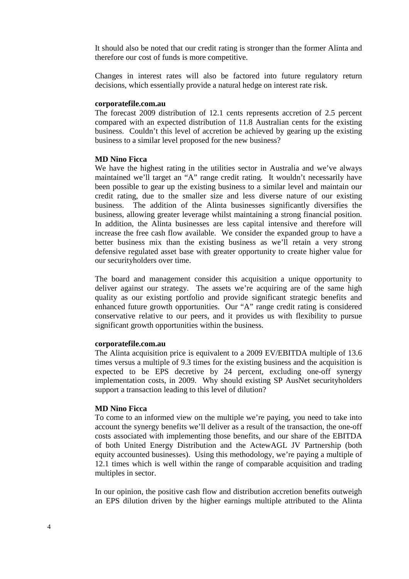It should also be noted that our credit rating is stronger than the former Alinta and therefore our cost of funds is more competitive.

Changes in interest rates will also be factored into future regulatory return decisions, which essentially provide a natural hedge on interest rate risk.

#### **corporatefile.com.au**

The forecast 2009 distribution of 12.1 cents represents accretion of 2.5 percent compared with an expected distribution of 11.8 Australian cents for the existing business. Couldn't this level of accretion be achieved by gearing up the existing business to a similar level proposed for the new business?

#### **MD Nino Ficca**

We have the highest rating in the utilities sector in Australia and we've always maintained we'll target an "A" range credit rating. It wouldn't necessarily have been possible to gear up the existing business to a similar level and maintain our credit rating, due to the smaller size and less diverse nature of our existing business. The addition of the Alinta businesses significantly diversifies the business, allowing greater leverage whilst maintaining a strong financial position. In addition, the Alinta businesses are less capital intensive and therefore will increase the free cash flow available. We consider the expanded group to have a better business mix than the existing business as we'll retain a very strong defensive regulated asset base with greater opportunity to create higher value for our securityholders over time.

The board and management consider this acquisition a unique opportunity to deliver against our strategy. The assets we're acquiring are of the same high quality as our existing portfolio and provide significant strategic benefits and enhanced future growth opportunities. Our "A" range credit rating is considered conservative relative to our peers, and it provides us with flexibility to pursue significant growth opportunities within the business.

# **corporatefile.com.au**

The Alinta acquisition price is equivalent to a 2009 EV/EBITDA multiple of 13.6 times versus a multiple of 9.3 times for the existing business and the acquisition is expected to be EPS decretive by 24 percent, excluding one-off synergy implementation costs, in 2009. Why should existing SP AusNet securityholders support a transaction leading to this level of dilution?

#### **MD Nino Ficca**

To come to an informed view on the multiple we're paying, you need to take into account the synergy benefits we'll deliver as a result of the transaction, the one-off costs associated with implementing those benefits, and our share of the EBITDA of both United Energy Distribution and the ActewAGL JV Partnership (both equity accounted businesses). Using this methodology, we're paying a multiple of 12.1 times which is well within the range of comparable acquisition and trading multiples in sector.

In our opinion, the positive cash flow and distribution accretion benefits outweigh an EPS dilution driven by the higher earnings multiple attributed to the Alinta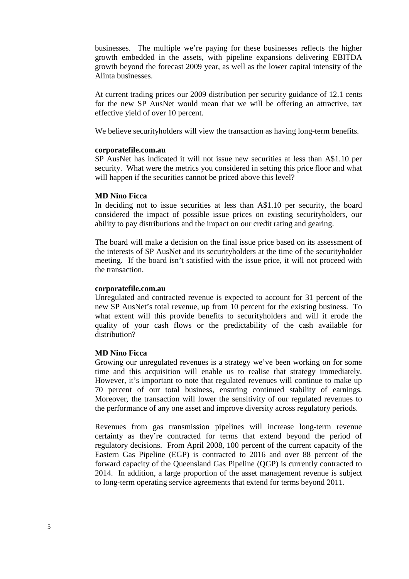businesses. The multiple we're paying for these businesses reflects the higher growth embedded in the assets, with pipeline expansions delivering EBITDA growth beyond the forecast 2009 year, as well as the lower capital intensity of the Alinta businesses.

At current trading prices our 2009 distribution per security guidance of 12.1 cents for the new SP AusNet would mean that we will be offering an attractive, tax effective yield of over 10 percent.

We believe securityholders will view the transaction as having long-term benefits.

### **corporatefile.com.au**

SP AusNet has indicated it will not issue new securities at less than A\$1.10 per security. What were the metrics you considered in setting this price floor and what will happen if the securities cannot be priced above this level?

### **MD Nino Ficca**

In deciding not to issue securities at less than A\$1.10 per security, the board considered the impact of possible issue prices on existing securityholders, our ability to pay distributions and the impact on our credit rating and gearing.

The board will make a decision on the final issue price based on its assessment of the interests of SP AusNet and its securityholders at the time of the securityholder meeting. If the board isn't satisfied with the issue price, it will not proceed with the transaction.

### **corporatefile.com.au**

Unregulated and contracted revenue is expected to account for 31 percent of the new SP AusNet's total revenue, up from 10 percent for the existing business. To what extent will this provide benefits to securityholders and will it erode the quality of your cash flows or the predictability of the cash available for distribution?

# **MD Nino Ficca**

Growing our unregulated revenues is a strategy we've been working on for some time and this acquisition will enable us to realise that strategy immediately. However, it's important to note that regulated revenues will continue to make up 70 percent of our total business, ensuring continued stability of earnings. Moreover, the transaction will lower the sensitivity of our regulated revenues to the performance of any one asset and improve diversity across regulatory periods.

Revenues from gas transmission pipelines will increase long-term revenue certainty as they're contracted for terms that extend beyond the period of regulatory decisions. From April 2008, 100 percent of the current capacity of the Eastern Gas Pipeline (EGP) is contracted to 2016 and over 88 percent of the forward capacity of the Queensland Gas Pipeline (QGP) is currently contracted to 2014. In addition, a large proportion of the asset management revenue is subject to long-term operating service agreements that extend for terms beyond 2011.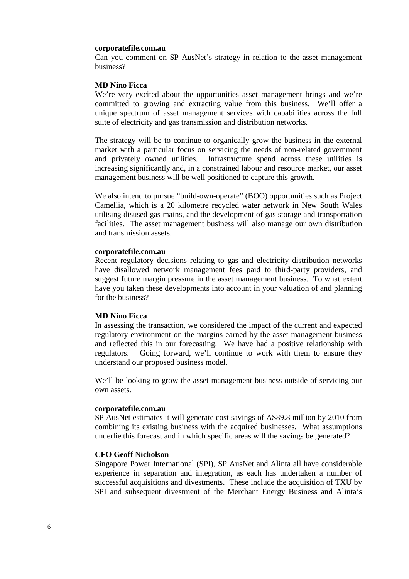#### **corporatefile.com.au**

Can you comment on SP AusNet's strategy in relation to the asset management business?

#### **MD Nino Ficca**

We're very excited about the opportunities asset management brings and we're committed to growing and extracting value from this business. We'll offer a unique spectrum of asset management services with capabilities across the full suite of electricity and gas transmission and distribution networks.

The strategy will be to continue to organically grow the business in the external market with a particular focus on servicing the needs of non-related government and privately owned utilities. Infrastructure spend across these utilities is increasing significantly and, in a constrained labour and resource market, our asset management business will be well positioned to capture this growth.

We also intend to pursue "build-own-operate" (BOO) opportunities such as Project Camellia, which is a 20 kilometre recycled water network in New South Wales utilising disused gas mains, and the development of gas storage and transportation facilities. The asset management business will also manage our own distribution and transmission assets.

# **corporatefile.com.au**

Recent regulatory decisions relating to gas and electricity distribution networks have disallowed network management fees paid to third-party providers, and suggest future margin pressure in the asset management business. To what extent have you taken these developments into account in your valuation of and planning for the business?

## **MD Nino Ficca**

In assessing the transaction, we considered the impact of the current and expected regulatory environment on the margins earned by the asset management business and reflected this in our forecasting. We have had a positive relationship with regulators. Going forward, we'll continue to work with them to ensure they understand our proposed business model.

We'll be looking to grow the asset management business outside of servicing our own assets.

#### **corporatefile.com.au**

SP AusNet estimates it will generate cost savings of A\$89.8 million by 2010 from combining its existing business with the acquired businesses. What assumptions underlie this forecast and in which specific areas will the savings be generated?

### **CFO Geoff Nicholson**

Singapore Power International (SPI), SP AusNet and Alinta all have considerable experience in separation and integration, as each has undertaken a number of successful acquisitions and divestments. These include the acquisition of TXU by SPI and subsequent divestment of the Merchant Energy Business and Alinta's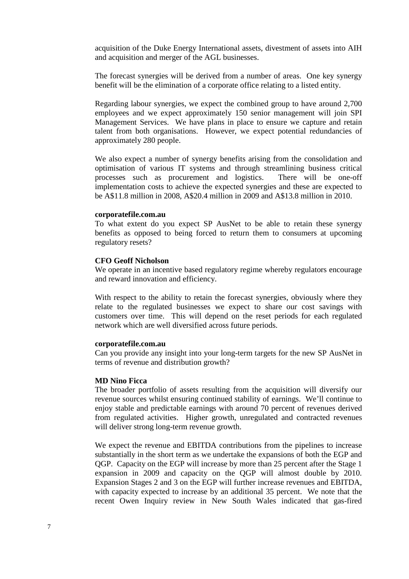acquisition of the Duke Energy International assets, divestment of assets into AIH and acquisition and merger of the AGL businesses.

The forecast synergies will be derived from a number of areas. One key synergy benefit will be the elimination of a corporate office relating to a listed entity.

Regarding labour synergies, we expect the combined group to have around 2,700 employees and we expect approximately 150 senior management will join SPI Management Services. We have plans in place to ensure we capture and retain talent from both organisations. However, we expect potential redundancies of approximately 280 people.

We also expect a number of synergy benefits arising from the consolidation and optimisation of various IT systems and through streamlining business critical processes such as procurement and logistics. There will be one-off implementation costs to achieve the expected synergies and these are expected to be A\$11.8 million in 2008, A\$20.4 million in 2009 and A\$13.8 million in 2010.

#### **corporatefile.com.au**

To what extent do you expect SP AusNet to be able to retain these synergy benefits as opposed to being forced to return them to consumers at upcoming regulatory resets?

#### **CFO Geoff Nicholson**

We operate in an incentive based regulatory regime whereby regulators encourage and reward innovation and efficiency.

With respect to the ability to retain the forecast synergies, obviously where they relate to the regulated businesses we expect to share our cost savings with customers over time. This will depend on the reset periods for each regulated network which are well diversified across future periods.

#### **corporatefile.com.au**

Can you provide any insight into your long-term targets for the new SP AusNet in terms of revenue and distribution growth?

### **MD Nino Ficca**

The broader portfolio of assets resulting from the acquisition will diversify our revenue sources whilst ensuring continued stability of earnings. We'll continue to enjoy stable and predictable earnings with around 70 percent of revenues derived from regulated activities. Higher growth, unregulated and contracted revenues will deliver strong long-term revenue growth.

We expect the revenue and EBITDA contributions from the pipelines to increase substantially in the short term as we undertake the expansions of both the EGP and QGP. Capacity on the EGP will increase by more than 25 percent after the Stage 1 expansion in 2009 and capacity on the QGP will almost double by 2010. Expansion Stages 2 and 3 on the EGP will further increase revenues and EBITDA, with capacity expected to increase by an additional 35 percent. We note that the recent Owen Inquiry review in New South Wales indicated that gas-fired